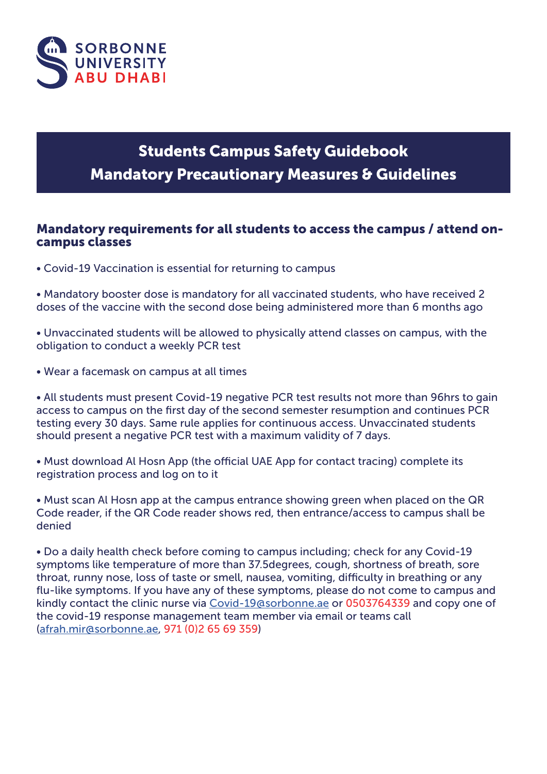

# Students Campus Safety Guidebook **Mandatory Precautionary Measures & Guidelines**

### Mandatory requirements for all students to access the campus / attend oncampus classes

• Covid-19 Vaccination is essential for returning to campus

• Mandatory booster dose is mandatory for all vaccinated students, who have received 2 doses of the vaccine with the second dose being administered more than 6 months ago

• Unvaccinated students will be allowed to physically attend classes on campus, with the obligation to conduct a weekly PCR test

• Wear a facemask on campus at all times

• All students must present Covid-19 negative PCR test results not more than 96hrs to gain access to campus on the first day of the second semester resumption and continues PCR testing every 30 days. Same rule applies for continuous access. Unvaccinated students should present a negative PCR test with a maximum validity of 7 days.

• Must download Al Hosn App (the official UAE App for contact tracing) complete its registration process and log on to it

• Must scan Al Hosn app at the campus entrance showing green when placed on the QR Code reader, if the QR Code reader shows red, then entrance/access to campus shall be denied

• Do a daily health check before coming to campus including; check for any Covid-19 symptoms like temperature of more than 37.5degrees, cough, shortness of breath, sore throat, runny nose, loss of taste or smell, nausea, vomiting, difficulty in breathing or any flu-like symptoms. If you have any of these symptoms, please do not come to campus and kindly contact the clinic nurse via Covid-19@sorbonne.ae or 0503764339 and copy one of the covid-19 response management team member via email or teams call (afrah.mir@sorbonne.ae, 971 (0)2 65 69 359)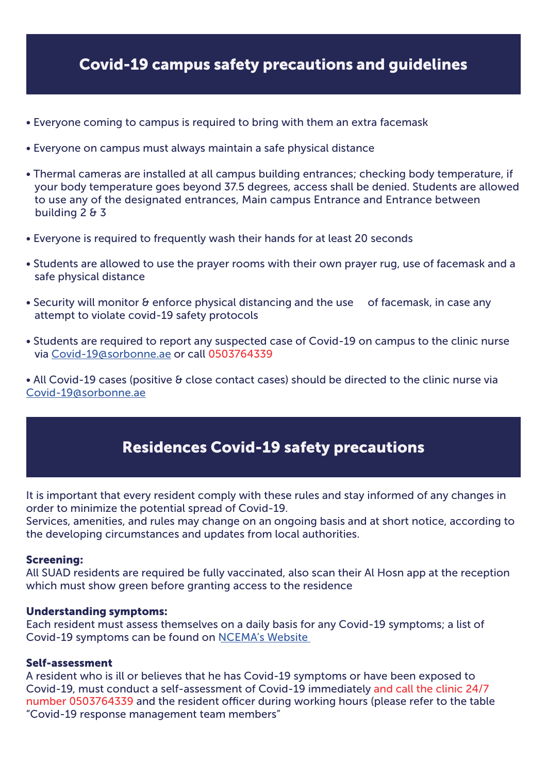### Covid-19 campus safety precautions and guidelines

- Everyone coming to campus is required to bring with them an extra facemask
- Everyone on campus must always maintain a safe physical distance
- Thermal cameras are installed at all campus building entrances; checking body temperature, if your body temperature goes beyond 37.5 degrees, access shall be denied. Students are allowed to use any of the designated entrances, Main campus Entrance and Entrance between building 2 & 3
- Everyone is required to frequently wash their hands for at least 20 seconds
- Students are allowed to use the prayer rooms with their own prayer rug, use of facemask and a safe physical distance
- Security will monitor & enforce physical distancing and the use of facemask, in case any attempt to violate covid-19 safety protocols
- Students are required to report any suspected case of Covid-19 on campus to the clinic nurse via Covid-19@sorbonne.ae or call 0503764339

• All Covid-19 cases (positive & close contact cases) should be directed to the clinic nurse via Covid-19@sorbonne.ae

### Residences Covid-19 safety precautions

It is important that every resident comply with these rules and stay informed of any changes in order to minimize the potential spread of Covid-19.

Services, amenities, and rules may change on an ongoing basis and at short notice, according to the developing circumstances and updates from local authorities.

#### Screening:

All SUAD residents are required be fully vaccinated, also scan their Al Hosn app at the reception which must show green before granting access to the residence

#### Understanding symptoms:

Each resident must assess themselves on a daily basis for any Covid-19 symptoms; a list of Covid-19 symptoms can be found on NCEMA's Website

#### Self-assessment

A resident who is ill or believes that he has Covid-19 symptoms or have been exposed to Covid-19, must conduct a self-assessment of Covid-19 immediately and call the clinic 24/7 number 0503764339 and the resident officer during working hours (please refer to the table "Covid-19 response management team members"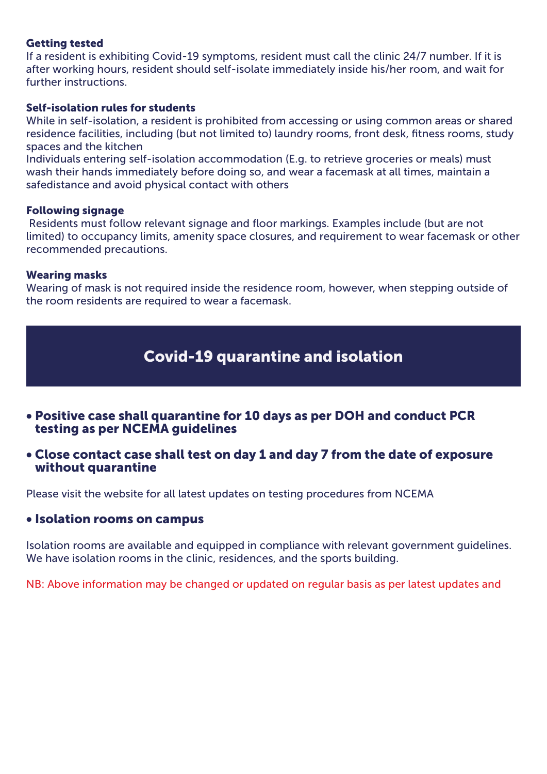#### Getting tested

If a resident is exhibiting Covid-19 symptoms, resident must call the clinic 24/7 number. If it is after working hours, resident should self-isolate immediately inside his/her room, and wait for further instructions.

#### Self-isolation rules for students

While in self-isolation, a resident is prohibited from accessing or using common areas or shared residence facilities, including (but not limited to) laundry rooms, front desk, fitness rooms, study spaces and the kitchen

Individuals entering self-isolation accommodation (E.g. to retrieve groceries or meals) must wash their hands immediately before doing so, and wear a facemask at all times, maintain a safedistance and avoid physical contact with others

#### Following signage

 Residents must follow relevant signage and floor markings. Examples include (but are not limited) to occupancy limits, amenity space closures, and requirement to wear facemask or other recommended precautions.

#### Wearing masks

Wearing of mask is not required inside the residence room, however, when stepping outside of the room residents are required to wear a facemask.

### Covid-19 quarantine and isolation

- Positive case shall quarantine for 10 days as per DOH and conduct PCR testing as per NCEMA guidelines
- Close contact case shall test on day 1 and day 7 from the date of exposure without quarantine

Please visit the website for all latest updates on testing procedures from NCEMA

#### • Isolation rooms on campus

Isolation rooms are available and equipped in compliance with relevant government guidelines. We have isolation rooms in the clinic, residences, and the sports building.

NB: Above information may be changed or updated on regular basis as per latest updates and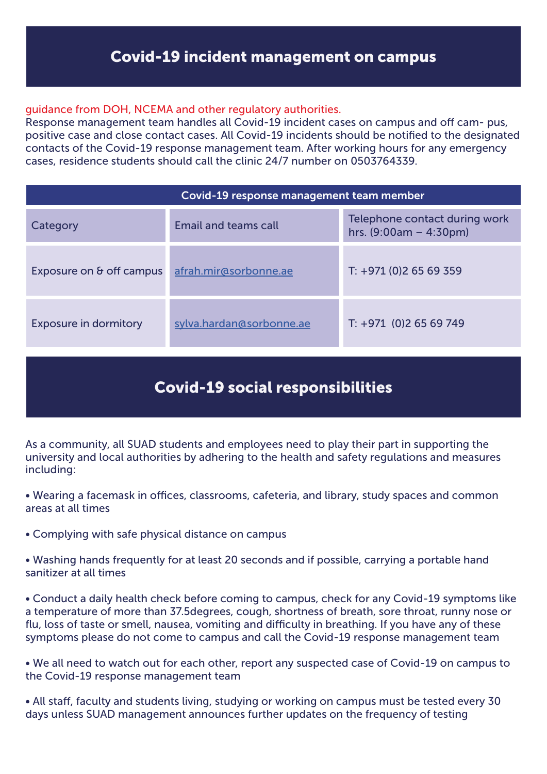### Covid-19 incident management on campus

#### guidance from DOH, NCEMA and other regulatory authorities.

Response management team handles all Covid-19 incident cases on campus and off cam- pus, positive case and close contact cases. All Covid-19 incidents should be notified to the designated contacts of the Covid-19 response management team. After working hours for any emergency cases, residence students should call the clinic 24/7 number on 0503764339.

| Covid-19 response management team member |                             |                                                           |
|------------------------------------------|-----------------------------|-----------------------------------------------------------|
| Category                                 | <b>Email and teams call</b> | Telephone contact during work<br>hrs. $(9:00am - 4:30pm)$ |
| Exposure on & off campus                 | afrah.mir@sorbonne.ae       | $T: +971(0)26569359$                                      |
| <b>Exposure in dormitory</b>             | sylva.hardan@sorbonne.ae    | $T: +971$ (0)2 65 69 749                                  |

# Covid-19 social responsibilities

As a community, all SUAD students and employees need to play their part in supporting the university and local authorities by adhering to the health and safety regulations and measures including:

• Wearing a facemask in offices, classrooms, cafeteria, and library, study spaces and common areas at all times

• Complying with safe physical distance on campus

• Washing hands frequently for at least 20 seconds and if possible, carrying a portable hand sanitizer at all times

• Conduct a daily health check before coming to campus, check for any Covid-19 symptoms like a temperature of more than 37.5degrees, cough, shortness of breath, sore throat, runny nose or flu, loss of taste or smell, nausea, vomiting and difficulty in breathing. If you have any of these symptoms please do not come to campus and call the Covid-19 response management team

• We all need to watch out for each other, report any suspected case of Covid-19 on campus to the Covid-19 response management team

• All staff, faculty and students living, studying or working on campus must be tested every 30 days unless SUAD management announces further updates on the frequency of testing